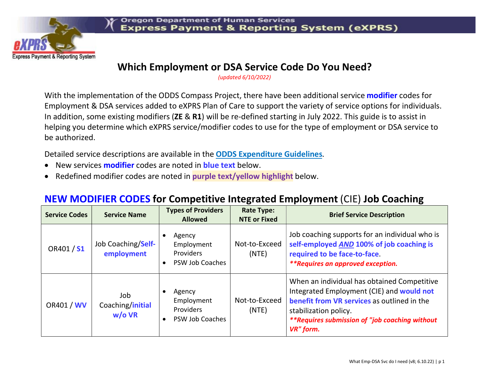

#### Which Employment or DSA Service Code Do You Need?

(updated 6/10/2022)

With the implementation of the ODDS Compass Project, there have been additional service **modifier** codes for Employment & DSA services added to eXPRS Plan of Care to support the variety of service options for individuals. In addition, some existing modifiers (ZE & R1) will be re-defined starting in July 2022. This guide is to assist in helping you determine which eXPRS service/modifier codes to use for the type of employment or DSA service to be authorized.

Detailed service descriptions are available in the ODDS Expenditure Guidelines.

- New services **modifier** codes are noted in **blue text** below.
- Redefined modifier codes are noted in purple text/yellow highlight below.

#### NEW MODIFIER CODES for Competitive Integrated Employment (CIE) Job Coaching

| <b>Service Codes</b> | <b>Service Name</b>                | <b>Types of Providers</b><br><b>Allowed</b>                                     | <b>Rate Type:</b><br><b>NTE or Fixed</b> | <b>Brief Service Description</b>                                                                                                                                                                                                |
|----------------------|------------------------------------|---------------------------------------------------------------------------------|------------------------------------------|---------------------------------------------------------------------------------------------------------------------------------------------------------------------------------------------------------------------------------|
| OR401 / S1           | Job Coaching/Self-<br>employment   | Agency<br>Employment<br><b>Providers</b><br><b>PSW Job Coaches</b><br>$\bullet$ | Not-to-Exceed<br>(NTE)                   | Job coaching supports for an individual who is<br>self-employed AND 100% of job coaching is<br>required to be face-to-face.<br><i>**Requires an approved exception.</i>                                                         |
| OR401 / WV           | Job.<br>Coaching/initial<br>w/o VR | Agency<br>Employment<br><b>Providers</b><br>PSW Job Coaches<br>$\bullet$        | Not-to-Exceed<br>(NTE)                   | When an individual has obtained Competitive<br>Integrated Employment (CIE) and would not<br>benefit from VR services as outlined in the<br>stabilization policy.<br>**Requires submission of "job coaching without<br>VR" form. |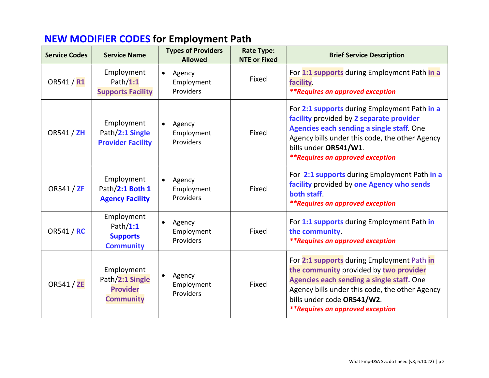## NEW MODIFIER CODES for Employment Path

| <b>Service Codes</b> | <b>Service Name</b>                                                  | <b>Types of Providers</b><br><b>Allowed</b>    | <b>Rate Type:</b><br><b>NTE or Fixed</b> | <b>Brief Service Description</b>                                                                                                                                                                                                                             |
|----------------------|----------------------------------------------------------------------|------------------------------------------------|------------------------------------------|--------------------------------------------------------------------------------------------------------------------------------------------------------------------------------------------------------------------------------------------------------------|
| OR541 / R1           | Employment<br>Path $/1:1$<br><b>Supports Facility</b>                | Agency<br>$\bullet$<br>Employment<br>Providers | Fixed                                    | For 1:1 supports during Employment Path in a<br><b>facility</b><br><i>**Requires an approved exception</i>                                                                                                                                                   |
| OR541 / ZH           | Employment<br>Path/2:1 Single<br><b>Provider Facility</b>            | Agency<br>$\bullet$<br>Employment<br>Providers | Fixed                                    | For 2:1 supports during Employment Path in a<br>facility provided by 2 separate provider<br>Agencies each sending a single staff. One<br>Agency bills under this code, the other Agency<br>bills under OR541/W1.<br><i>**Requires an approved exception</i>  |
| OR541 / ZF           | Employment<br>Path/2:1 Both 1<br><b>Agency Facility</b>              | Agency<br>$\bullet$<br>Employment<br>Providers | Fixed                                    | For 2:1 supports during Employment Path in a<br>facility provided by one Agency who sends<br>both staff<br><i>**Requires an approved exception</i>                                                                                                           |
| OR541 / RC           | Employment<br>Path $/1:1$<br><b>Supports</b><br><b>Community</b>     | Agency<br>$\bullet$<br>Employment<br>Providers | Fixed                                    | For 1:1 supports during Employment Path in<br>the community.<br><i>**Requires an approved exception</i>                                                                                                                                                      |
| OR541 / ZE           | Employment<br>Path/2:1 Single<br><b>Provider</b><br><b>Community</b> | Agency<br>$\bullet$<br>Employment<br>Providers | Fixed                                    | For 2:1 supports during Employment Path in<br>the community provided by two provider<br>Agencies each sending a single staff. One<br>Agency bills under this code, the other Agency<br>bills under code OR541/W2.<br><i>**Requires an approved exception</i> |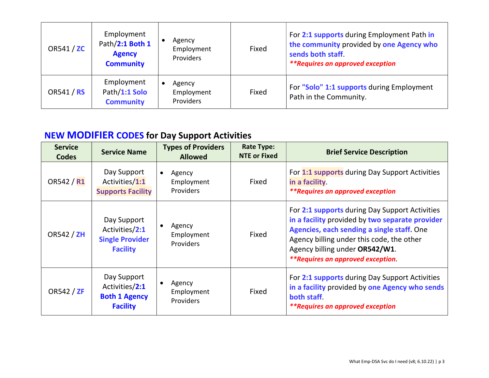| OR541 / ZC | Employment<br>Path/2:1 Both 1<br><b>Agency</b><br><b>Community</b> | Agency<br>Employment<br>Providers        | Fixed | For 2:1 supports during Employment Path in<br>the community provided by one Agency who<br>sends both staff.<br><i>**Requires an approved exception</i> |
|------------|--------------------------------------------------------------------|------------------------------------------|-------|--------------------------------------------------------------------------------------------------------------------------------------------------------|
| OR541 / RS | Employment<br>Path/1:1 Solo<br><b>Community</b>                    | Agency<br>Employment<br><b>Providers</b> | Fixed | For "Solo" 1:1 supports during Employment<br>Path in the Community.                                                                                    |

## NEW MODIFIER CODES for Day Support Activities

| <b>Service</b><br><b>Codes</b> | <b>Service Name</b>                                                        | <b>Types of Providers</b><br><b>Allowed</b>           | <b>Rate Type:</b><br><b>NTE or Fixed</b> | <b>Brief Service Description</b>                                                                                                                                                                                                                                           |
|--------------------------------|----------------------------------------------------------------------------|-------------------------------------------------------|------------------------------------------|----------------------------------------------------------------------------------------------------------------------------------------------------------------------------------------------------------------------------------------------------------------------------|
| OR542 / R1                     | Day Support<br>Activities/1:1<br><b>Supports Facility</b>                  | Agency<br>$\bullet$<br>Employment<br><b>Providers</b> | Fixed                                    | For 1:1 supports during Day Support Activities<br>in a facility.<br><i>**Requires an approved exception</i>                                                                                                                                                                |
| OR542 / $ZH$                   | Day Support<br>Activities/2:1<br><b>Single Provider</b><br><b>Facility</b> | Agency<br>Employment<br><b>Providers</b>              | Fixed                                    | For 2:1 supports during Day Support Activities<br>in a facility provided by two separate provider<br>Agencies, each sending a single staff. One<br>Agency billing under this code, the other<br>Agency billing under OR542/W1.<br><i>**Requires an approved exception.</i> |
| OR542 / ZF                     | Day Support<br>Activities/2:1<br><b>Both 1 Agency</b><br><b>Facility</b>   | Agency<br>Employment<br>Providers                     | Fixed                                    | For 2:1 supports during Day Support Activities<br>in a facility provided by one Agency who sends<br>both staff<br><i>**Requires an approved exception</i>                                                                                                                  |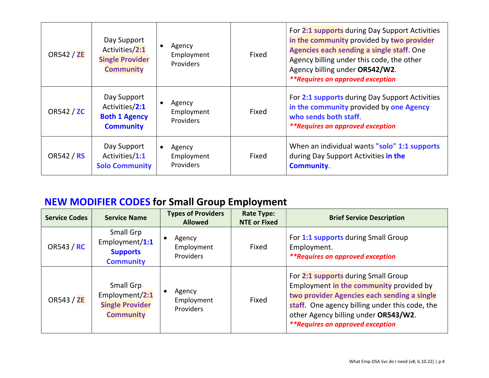| <b>OR542 / ZE</b> | Day Support<br>Activities/2:1<br><b>Single Provider</b><br><b>Community</b> | Agency<br>Employment<br><b>Providers</b> | Fixed | For 2:1 supports during Day Support Activities<br>in the community provided by two provider<br>Agencies each sending a single staff. One<br>Agency billing under this code, the other<br>Agency billing under OR542/W2.<br><i>**Requires an approved exception</i> |
|-------------------|-----------------------------------------------------------------------------|------------------------------------------|-------|--------------------------------------------------------------------------------------------------------------------------------------------------------------------------------------------------------------------------------------------------------------------|
| OR542 / ZC        | Day Support<br>Activities/2:1<br><b>Both 1 Agency</b><br><b>Community</b>   | Agency<br>Employment<br><b>Providers</b> | Fixed | For 2:1 supports during Day Support Activities<br>in the community provided by one Agency<br>who sends both staff<br><i>**Requires an approved exception</i>                                                                                                       |
| OR542 / RS        | Day Support<br>Activities/1:1<br><b>Solo Community</b>                      | Agency<br>Employment<br><b>Providers</b> | Fixed | When an individual wants "solo" 1:1 supports<br>during Day Support Activities in the<br><b>Community</b>                                                                                                                                                           |

# NEW MODIFIER CODES for Small Group Employment

| <b>Service Codes</b> | <b>Service Name</b>                                                       | <b>Types of Providers</b><br><b>Allowed</b> | <b>Rate Type:</b><br><b>NTE or Fixed</b> | <b>Brief Service Description</b>                                                                                                                                                                                                                                   |
|----------------------|---------------------------------------------------------------------------|---------------------------------------------|------------------------------------------|--------------------------------------------------------------------------------------------------------------------------------------------------------------------------------------------------------------------------------------------------------------------|
| OR543 / RC           | Small Grp<br>Employment/ $1:1$<br><b>Supports</b><br><b>Community</b>     | Agency<br>Employment<br><b>Providers</b>    | Fixed                                    | For 1:1 supports during Small Group<br>Employment.<br><i>**Requires an approved exception</i>                                                                                                                                                                      |
| <b>OR543 / ZE</b>    | Small Grp<br>Employment/2:1<br><b>Single Provider</b><br><b>Community</b> | Agency<br>Employment<br>Providers           | Fixed                                    | For 2:1 supports during Small Group<br>Employment in the community provided by<br>two provider Agencies each sending a single<br>staff. One agency billing under this code, the<br>other Agency billing under OR543/W2.<br><i>**Requires an approved exception</i> |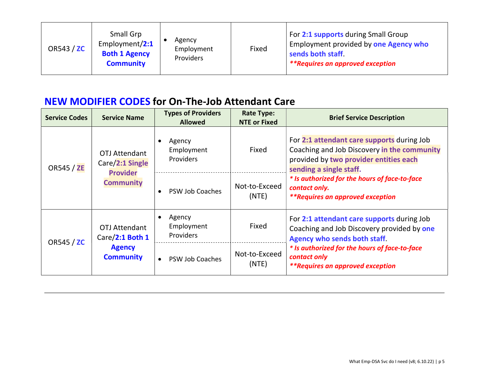| OR543 / ZC | Small Grp<br>Employment/2:1<br><b>Both 1 Agency</b><br><b>Community</b> | Agency<br>Employment<br>Providers | Fixed | For 2:1 supports during Small Group<br>Employment provided by one Agency who<br>sends both staff.<br><i>**Requires an approved exception</i> |
|------------|-------------------------------------------------------------------------|-----------------------------------|-------|----------------------------------------------------------------------------------------------------------------------------------------------|
|------------|-------------------------------------------------------------------------|-----------------------------------|-------|----------------------------------------------------------------------------------------------------------------------------------------------|

#### NEW MODIFIER CODES for On-The-Job Attendant Care

| <b>Service Codes</b> | <b>Service Name</b>                                                          | <b>Types of Providers</b><br><b>Allowed</b>    | <b>Rate Type:</b><br><b>NTE or Fixed</b> | <b>Brief Service Description</b>                                                                                                                               |
|----------------------|------------------------------------------------------------------------------|------------------------------------------------|------------------------------------------|----------------------------------------------------------------------------------------------------------------------------------------------------------------|
| <b>OR545 / ZE</b>    | OTJ Attendant<br>Care/2:1 Single<br><b>Provider</b><br><b>Community</b>      | Agency<br>$\bullet$<br>Employment<br>Providers | Fixed                                    | For 2:1 attendant care supports during Job<br>Coaching and Job Discovery in the community<br>provided by two provider entities each<br>sending a single staff. |
|                      |                                                                              | PSW Job Coaches<br>$\epsilon$                  | Not-to-Exceed<br>(NTE)                   | * Is authorized for the hours of face-to-face<br>contact only.<br><i>**Requires an approved exception</i>                                                      |
| OR545 / ZC           | <b>OTJ Attendant</b><br>Care/2:1 Both 1<br><b>Agency</b><br><b>Community</b> | Agency<br>Employment<br>Providers              | Fixed                                    | For 2:1 attendant care supports during Job<br>Coaching and Job Discovery provided by one<br><b>Agency who sends both staff.</b>                                |
|                      |                                                                              | PSW Job Coaches                                | Not-to-Exceed<br>(NTE)                   | * Is authorized for the hours of face-to-face<br>contact only<br><i>**Requires an approved exception</i>                                                       |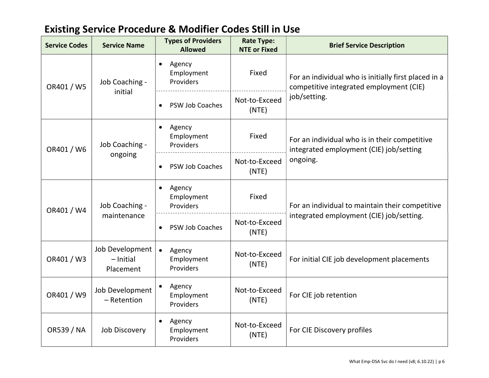| <b>Service Codes</b> | <b>Service Name</b>                         | <b>Types of Providers</b><br><b>Allowed</b>    | <b>Rate Type:</b><br><b>NTE or Fixed</b> | <b>Brief Service Description</b>                                                                |
|----------------------|---------------------------------------------|------------------------------------------------|------------------------------------------|-------------------------------------------------------------------------------------------------|
| OR401 / W5           | Job Coaching -                              | Agency<br>$\bullet$<br>Employment<br>Providers | Fixed                                    | For an individual who is initially first placed in a<br>competitive integrated employment (CIE) |
|                      | initial                                     | PSW Job Coaches<br>$\bullet$                   | Not-to-Exceed<br>(NTE)                   | job/setting.                                                                                    |
| OR401 / W6           | Job Coaching -<br>ongoing                   | Agency<br>$\bullet$<br>Employment<br>Providers | Fixed                                    | For an individual who is in their competitive<br>integrated employment (CIE) job/setting        |
|                      |                                             | PSW Job Coaches                                | Not-to-Exceed<br>(NTE)                   | ongoing.                                                                                        |
| OR401 / W4           | Job Coaching -<br>maintenance               | Agency<br>$\bullet$<br>Employment<br>Providers | Fixed                                    | For an individual to maintain their competitive                                                 |
|                      |                                             | PSW Job Coaches<br>$\bullet$                   | Not-to-Exceed<br>(NTE)                   | integrated employment (CIE) job/setting.                                                        |
| OR401 / W3           | Job Development<br>$-$ Initial<br>Placement | $\bullet$<br>Agency<br>Employment<br>Providers | Not-to-Exceed<br>(NTE)                   | For initial CIE job development placements                                                      |
| OR401 / W9           | Job Development<br>- Retention              | Agency<br>Employment<br>Providers              | Not-to-Exceed<br>(NTE)                   | For CIE job retention                                                                           |
| <b>OR539 / NA</b>    | <b>Job Discovery</b>                        | Agency<br>Employment<br>Providers              | Not-to-Exceed<br>(NTE)                   | For CIE Discovery profiles                                                                      |

## Existing Service Procedure & Modifier Codes Still in Use